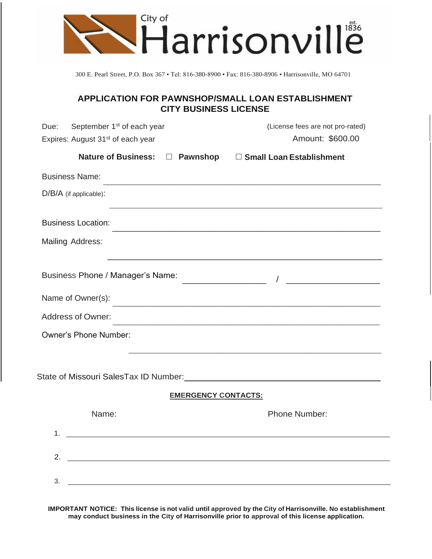

300 E. Pearl Street, P.O. Box 367 • Tel: 816-380-8900 • Fax: 816-380-8906 • Harrisonville, MO 64701

## **APPLICATION FOR PAWNSHOP/SMALL LOAN ESTABLISHMENT CITY BUSINESS LICENSE**

| September 1 <sup>st</sup> of each year<br>Due:                                                | (License fees are not pro-rated)                                                                                      |
|-----------------------------------------------------------------------------------------------|-----------------------------------------------------------------------------------------------------------------------|
| Expires: August 31 <sup>st</sup> of each year                                                 | Amount: \$600.00                                                                                                      |
|                                                                                               | Nature of Business: □ Pawnshop □ Small Loan Establishment                                                             |
| <b>Business Name:</b>                                                                         |                                                                                                                       |
| $D/B/A$ (if applicable):                                                                      | <u> 1989 - Johann Stoff, deutscher Stoff, der Stoff, der Stoff, der Stoff, der Stoff, der Stoff, der Stoff, der S</u> |
| <b>Business Location:</b>                                                                     |                                                                                                                       |
| Mailing Address:                                                                              |                                                                                                                       |
|                                                                                               | <u> 1989 - Johann Stoff, amerikansk politiker (* 1908)</u>                                                            |
| Name of Owner(s):                                                                             |                                                                                                                       |
| Address of Owner:                                                                             | <u> 1989 - Johann Stoff, amerikansk politiker (d. 1989)</u>                                                           |
| <b>Owner's Phone Number:</b>                                                                  |                                                                                                                       |
| State of Missouri SalesTax ID Number: Manual Annual According of Missouri SalesTax ID Number: |                                                                                                                       |
|                                                                                               | <b>EMERGENCY CONTACTS:</b>                                                                                            |
| Name:                                                                                         | <b>Phone Number:</b>                                                                                                  |
| 1.                                                                                            |                                                                                                                       |
| 2.                                                                                            |                                                                                                                       |
| 3.<br><u> 1989 - Jan Barnett, fransk politiker (d. 1989)</u>                                  |                                                                                                                       |
|                                                                                               |                                                                                                                       |

**IMPORTANT NOTICE: This license is not valid until approved by the City of Harrisonville. No establishment may conduct business in the City of Harrisonville prior to approval of this license application.**